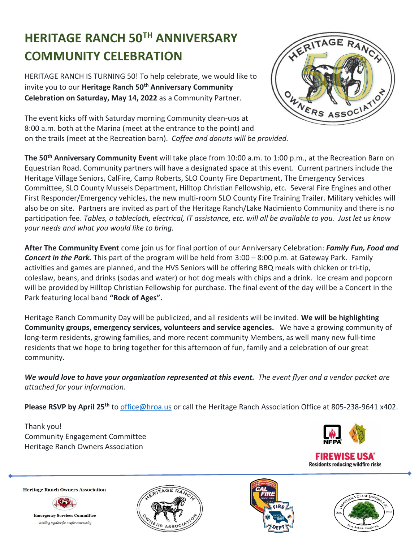## **HERITAGE RANCH 50TH ANNIVERSARY COMMUNITY CELEBRATION**

HERITAGE RANCH IS TURNING 50! To help celebrate, we would like to invite you to our **Heritage Ranch 50th Anniversary Community Celebration on Saturday, May 14, 2022** as a Community Partner.



The event kicks off with Saturday morning Community clean-ups at 8:00 a.m. both at the Marina (meet at the entrance to the point) and on the trails (meet at the Recreation barn). *Coffee and donuts will be provided.*

**The 50th Anniversary Community Event** will take place from 10:00 a.m. to 1:00 p.m., at the Recreation Barn on Equestrian Road. Community partners will have a designated space at this event. Current partners include the Heritage Village Seniors, CalFire, Camp Roberts, SLO County Fire Department, The Emergency Services Committee, SLO County Mussels Department, Hilltop Christian Fellowship, etc. Several Fire Engines and other First Responder/Emergency vehicles, the new multi-room SLO County Fire Training Trailer. Military vehicles will also be on site. Partners are invited as part of the Heritage Ranch/Lake Nacimiento Community and there is no participation fee. *Tables, a tablecloth, electrical, IT assistance, etc. will all be available to you. Just let us know your needs and what you would like to bring.*

**After The Community Event** come join us for final portion of our Anniversary Celebration: *Family Fun, Food and Concert in the Park.* This part of the program will be held from 3:00 – 8:00 p.m. at Gateway Park. Family activities and games are planned, and the HVS Seniors will be offering BBQ meals with chicken or tri-tip, coleslaw, beans, and drinks (sodas and water) or hot dog meals with chips and a drink. Ice cream and popcorn will be provided by Hilltop Christian Fellowship for purchase. The final event of the day will be a Concert in the Park featuring local band **"Rock of Ages".**

Heritage Ranch Community Day will be publicized, and all residents will be invited. **We will be highlighting Community groups, emergency services, volunteers and service agencies.** We have a growing community of long-term residents, growing families, and more recent community Members, as well many new full-time residents that we hope to bring together for this afternoon of fun, family and a celebration of our great community.

*We would love to have your organization represented at this event. The event flyer and a vendor packet are attached for your information.* 

**Please RSVP by April 25th** to [office@hroa.us](mailto:office@hroa.us) or call the Heritage Ranch Association Office at 805-238-9641 x402.

Thank you! Community Engagement Committee Heritage Ranch Owners Association



**Heritage Ranch Owners Association** 



**Emergency Services Committee** Working together for a safer community





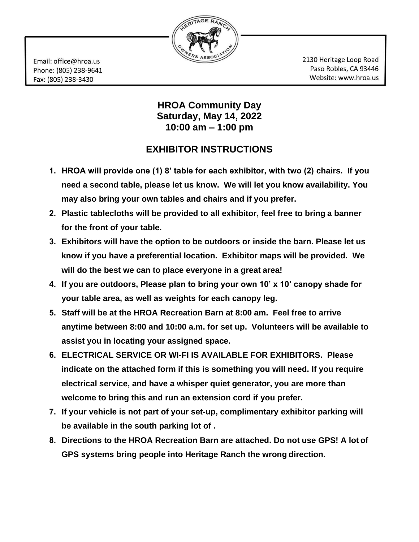

Email: office@hroa.us Phone: (805) 238-9641 Fax: (805) 238-3430

2130 Heritage Loop Road Paso Robles, CA 93446 Website: www.hroa.us

## **HROA Community Day Saturday, May 14, 2022 10:00 am – 1:00 pm**

## **EXHIBITOR INSTRUCTIONS**

- **1. HROA will provide one (1) 8' table for each exhibitor, with two (2) chairs. If you need a second table, please let us know. We will let you know availability. You may also bring your own tables and chairs and if you prefer.**
- **2. Plastic tablecloths will be provided to all exhibitor, feel free to bring a banner for the front of your table.**
- **3. Exhibitors will have the option to be outdoors or inside the barn. Please let us know if you have a preferential location. Exhibitor maps will be provided. We will do the best we can to place everyone in a great area!**
- **4. If you are outdoors, Please plan to bring your own 10' x 10' canopy shade for your table area, as well as weights for each canopy leg.**
- **5. Staff will be at the HROA Recreation Barn at 8:00 am. Feel free to arrive anytime between 8:00 and 10:00 a.m. for set up. Volunteers will be available to assist you in locating your assigned space.**
- **6. ELECTRICAL SERVICE OR WI-FI IS AVAILABLE FOR EXHIBITORS. Please indicate on the attached form if this is something you will need. If you require electrical service, and have a whisper quiet generator, you are more than welcome to bring this and run an extension cord if you prefer.**
- **7. If your vehicle is not part of your set-up, complimentary exhibitor parking will be available in the south parking lot of .**
- **8. Directions to the HROA Recreation Barn are attached. Do not use GPS! A lot of GPS systems bring people into Heritage Ranch the wrong direction.**